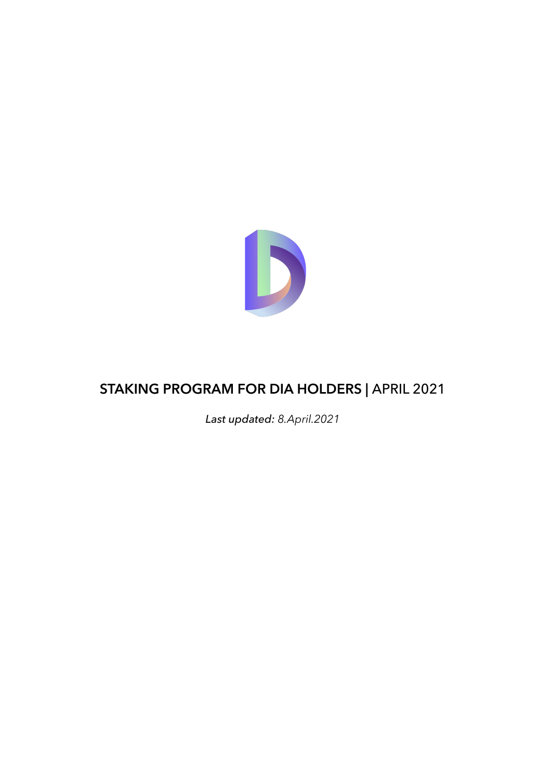

# **STAKING PROGRAM FOR DIA HOLDERS |** APRIL 2021

*Last updated: 8.April.2021*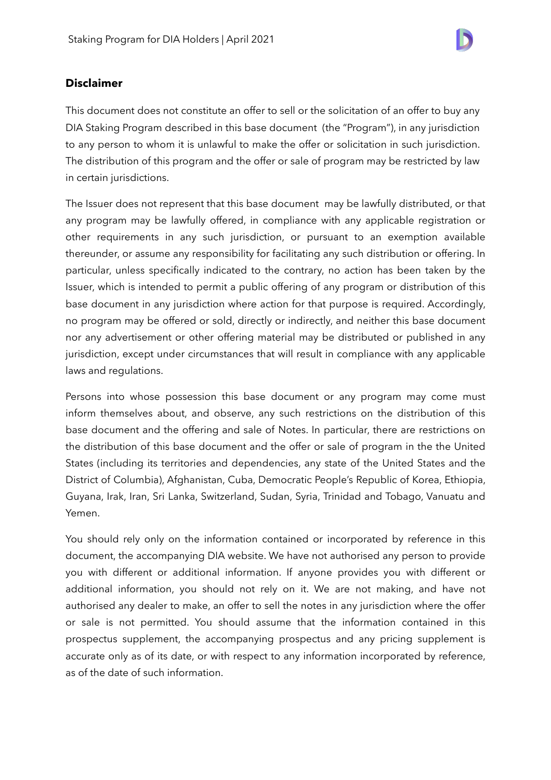

### **Disclaimer**

This document does not constitute an offer to sell or the solicitation of an offer to buy any DIA Staking Program described in this base document (the "Program"), in any jurisdiction to any person to whom it is unlawful to make the offer or solicitation in such jurisdiction. The distribution of this program and the offer or sale of program may be restricted by law in certain jurisdictions.

The Issuer does not represent that this base document may be lawfully distributed, or that any program may be lawfully offered, in compliance with any applicable registration or other requirements in any such jurisdiction, or pursuant to an exemption available thereunder, or assume any responsibility for facilitating any such distribution or offering. In particular, unless specifically indicated to the contrary, no action has been taken by the Issuer, which is intended to permit a public offering of any program or distribution of this base document in any jurisdiction where action for that purpose is required. Accordingly, no program may be offered or sold, directly or indirectly, and neither this base document nor any advertisement or other offering material may be distributed or published in any jurisdiction, except under circumstances that will result in compliance with any applicable laws and regulations.

Persons into whose possession this base document or any program may come must inform themselves about, and observe, any such restrictions on the distribution of this base document and the offering and sale of Notes. In particular, there are restrictions on the distribution of this base document and the offer or sale of program in the the United States (including its territories and dependencies, any state of the United States and the District of Columbia), Afghanistan, Cuba, Democratic People's Republic of Korea, Ethiopia, Guyana, Irak, Iran, Sri Lanka, Switzerland, Sudan, Syria, Trinidad and Tobago, Vanuatu and Yemen.

You should rely only on the information contained or incorporated by reference in this document, the accompanying DIA website. We have not authorised any person to provide you with different or additional information. If anyone provides you with different or additional information, you should not rely on it. We are not making, and have not authorised any dealer to make, an offer to sell the notes in any jurisdiction where the offer or sale is not permitted. You should assume that the information contained in this prospectus supplement, the accompanying prospectus and any pricing supplement is accurate only as of its date, or with respect to any information incorporated by reference, as of the date of such information.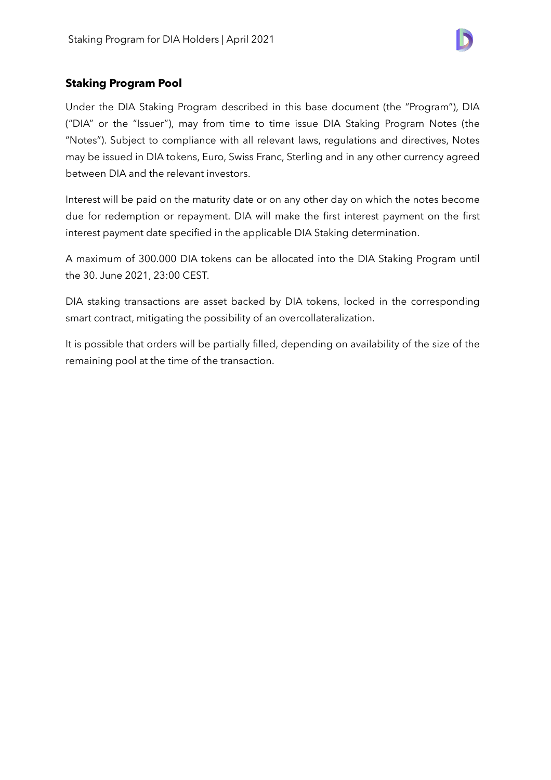

## **Staking Program Pool**

Under the DIA Staking Program described in this base document (the "Program"), DIA ("DIA" or the "Issuer"), may from time to time issue DIA Staking Program Notes (the "Notes"). Subject to compliance with all relevant laws, regulations and directives, Notes may be issued in DIA tokens, Euro, Swiss Franc, Sterling and in any other currency agreed between DIA and the relevant investors.

Interest will be paid on the maturity date or on any other day on which the notes become due for redemption or repayment. DIA will make the first interest payment on the first interest payment date specified in the applicable DIA Staking determination.

A maximum of 300.000 DIA tokens can be allocated into the DIA Staking Program until the 30. June 2021, 23:00 CEST.

DIA staking transactions are asset backed by DIA tokens, locked in the corresponding smart contract, mitigating the possibility of an overcollateralization.

It is possible that orders will be partially filled, depending on availability of the size of the remaining pool at the time of the transaction.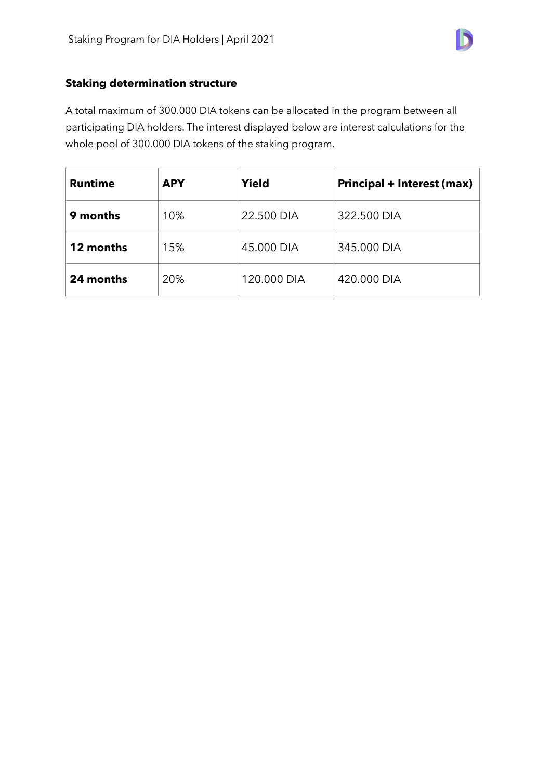

## **Staking determination structure**

A total maximum of 300.000 DIA tokens can be allocated in the program between all participating DIA holders. The interest displayed below are interest calculations for the whole pool of 300.000 DIA tokens of the staking program.

| <b>Runtime</b> | <b>APY</b> | <b>Yield</b> | <b>Principal + Interest (max)</b> |
|----------------|------------|--------------|-----------------------------------|
| 9 months       | 10%        | 22.500 DIA   | 322.500 DIA                       |
| 12 months      | 15%        | 45.000 DIA   | 345.000 DIA                       |
| 24 months      | 20%        | 120.000 DIA  | 420.000 DIA                       |